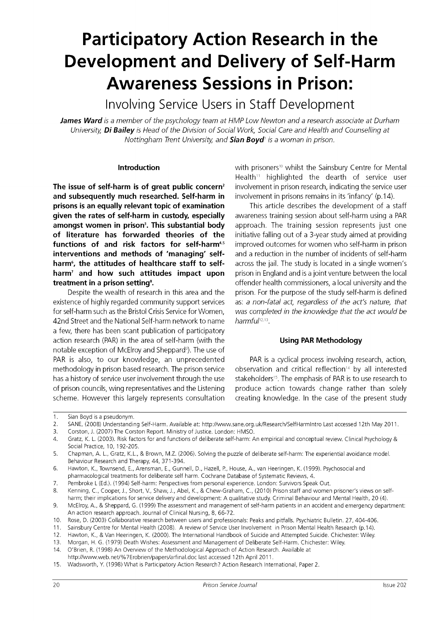# **Participatory Action Research in the Development and Delivery of Self-Harm Awareness Sessions in Prison:**

Involving Service Users in Staff Development

*James Ward is a member of the psychology team at HMP Low Newton and a research associate at Durham University, Di Bailey is Head of the Division of Social Work, Social Care and Health and Counselling at Nottingham Trent University, and Sian Boyd<sup>1</sup> is a woman in prison.* 

**The issue of self-harm is of great public concern<sup>2</sup> and subsequently much researched. Self-harm in** involvement in prisons remains in its 'infancy' (p.14). **prisons is an equally relevant topic of examination** This article describes the development of a staff **given the rates of self-harm in custody, especially** awareness training session about self-harm using a PAR **amongst women in prison<sup>3</sup> of literature has forwarded theories of the** initiative falling out of a 3-year study aimed at providing **functions of and risk factors for self-harm4,5 interventions and methods of 'managing' self-** and a reduction in the number of incidents of self-harm harm<sup>6</sup>, the attitudes of healthcare staff to selfharm<sup>7</sup> and how such attitudes impact upon **treatment in a prison setting<sup>8</sup>**

existence of highly regarded community support services as: *a non-fatal act, regardless of the act's nature, that*  for self-harm such as the Bristol Crisis Service for Women, *was completed in the knowledge that the act would be*  42nd Street and the National Self-harm network to name *harmful*12,13 a few, there has been scant publication of participatory action research (PAR) in the area of self-harm (with the **Using PAR Methodology**  notable exception of McElroy and Sheppard<sup>9</sup>). The use of PAR is also, to our knowledge, an unprecedented PAR is a cyclical process involving research, action, methodology in prison based research. The prison service has a history of service user involvement through the use of prison councils, wing representatives and the Listening produce action towards change rather than solely scheme. However this largely represents consultation creating knowledge. In the case of the present study

**Introduction Example 20** with prisoners<sup>10</sup> whilst the Sainsbury Centre for Mental Health<sup>11</sup> highlighted the dearth of service user involvement in prison research, indicating the service user

approach. The training session represents just one improved outcomes for women who self-harm in prison across the jail. The study is located in a single women's prison in England and is a joint venture between the local **.** offender health commissioners, a local university and the Despite the wealth of research in this area and the prison. For the purpose of the study self-harm is defined

observation and critical reflection<sup>14</sup> by all interested stakeholders<sup>15</sup>. The emphasis of PAR is to use research to

3. Corston, J. (2007) The Corston Report. Ministry of Justice. London: HMSO.

14. O'Brien, R. (1998) An Overview of the Methodological Approach of Action Research. Available at

<sup>1.</sup> Sian Boyd is a pseudonym.

<sup>2.</sup> SANE, (2008) Understanding Self-Harm. Available at: [http://www.sane.org.uk/Research/SelfHarmIntro L](http://www.sane.org.uk/Research/SelfHarmIntro)ast accessed 12th May 2011.

<sup>4.</sup> Gratz, K. L. (2003). Risk factors for and functions of deliberate self-harm: An empirical and conceptual review. Clinical Psychology & Social Practice, 10, 192-205.

<sup>5.</sup> Chapman, A. L., Gratz, K.L., & Brown, M.Z. (2006). Solving the puzzle of deliberate self-harm: The experiential avoidance model. Behaviour Research and Therapy, 44, 371-394.

<sup>6.</sup> Hawton, K., Townsend, E., Arensman, E., Gunnell, D., Hazell, P. , House, A., van Heeringen, K. (1999). Psychosocial and pharmacological treatments for deliberate self harm. Cochrane Database of Systematic Reviews, 4.

<sup>7.</sup> Pembroke L (Ed.). (1994) Self-harm: Perspectives from personal experience. London: Survivors Speak Out.

<sup>8.</sup> Kenning, C., Cooper, J., Short, V., Shaw, J., Abel, K., & Chew-Graham, C., (2010) Prison staff and women prisoner's views on selfharm; their implications for service delivery and development: A qualitative study. Criminal Behaviour and Mental Health, 20 (4).

<sup>9.</sup> McElroy, A., & Sheppard, G. (1999) The assessment and management of self-harm patients in an accident and emergency department: An action research approach. Journal of Clinical Nursing, 8, 66-72.

<sup>10.</sup> Rose, D. (2003) Collaborative research between users and professionals: Peaks and pitfalls. Psychiatric Bulletin. 27, 404-406.

<sup>11.</sup> Sainsbury Centre for Mental Health (2008). A review of Service User Involvement in Prison Mental Health Research (p.14).

<sup>12.</sup> Hawton, K., & Van Heeringen, K. (2000). The International Handbook of Suicide and Attempted Suicide. Chichester: Wiley.

<sup>13.</sup> Morgan, H. G. (1979) Death Wishes: Assessment and Management of Deliberate Self-Harm. Chichester: Wiley.

<http://www.web.net/%7Erobrien/papers/arfinal.doc>last accessed 12th April 2011.

<sup>15.</sup> Wadsworth, Y. (1998) What is Participatory Action Research? Action Research International, Paper 2.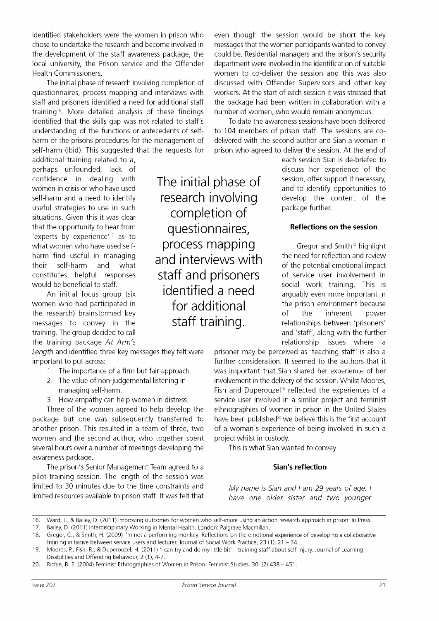identified stakeholders were the women in prison who even though the session would be short the key chose to undertake the research and become involved in messages that the women participants wanted to convey the development of the staff awareness package, the could be. Residential managers and the prison's security local university, the Prison service and the Offender department were involved in the identification of suitable Health Commissioners. women to co-deliver the session and this was also

questionnaires, process mapping and interviews with workers. At the start of each session it was stressed that staff and prisoners identified a need for additional staff the package had been written in collaboration with a training<sup>16</sup>. More detailed analysis of these findings identified that the skills gap was not related to staff's To date the awareness sessions have been delivered understanding of the functions or antecedents of self- to 104 members of prison staff. The sessions are coharm or the prisons procedures for the management of delivered with the second author and Sian a woman in self-harm (ibid). This suggested that the reguests for prison who agreed to deliver the session. At the end of

additional training related to a, perhaps unfounded, lack of confidence in dealing with women in crisis or who have used self-harm and a need to identify useful strategies to use in such situations. Given this it was clear that the opportunity to hear from 'experts by experience'<sup>17</sup> as to what women who have used selfharm find useful in managing their self-harm and what constitutes helpful responses would be beneficial to staff.

An initial focus group (six women who had participated in the research) brainstormed key messages to convey in the training. The group decided to call the training package *At Arm's* 

Length and identified three key messages they felt were prisoner may be perceived as 'teaching staff' is also a important to put across:

- 1. The importance of a firm but fair approach.
- 2. The value of non-judgemental listening in managing self-harm.
- 3. How empathy can help women in distress.

package but one was subsequently transferred to another prison. This resulted in a team of three, two of a woman's experience of being involved in such a women and the second author, who together spent project whilst in custody. several hours over a number of meetings developing the awareness package.

The prison's Senior Management Team agreed to a pilot training session. The length of the session was limited to 30 minutes due to the time constraints and limited resources available to prison staff. It was felt that

The initial phase of research involving completion of questionnaires, process mapping and interviews with staff and prisoners identified a need for additional staff training.

The initial phase of research involving completion of discussed with Offender Supervisors and other key number of women, who would remain anonymous.

each session Sian is de-briefed to discuss her experience of the session, offer support if necessary, and to identify opportunities to develop the content of the package further.

# **Reflections on the session**

Gregor and Smith<sup>18</sup> highlight the need for reflection and review of the potential emotional impact of service user involvement in social work training. This is arguably even more important in the prison environment because of the inherent power relationships between 'prisoners' and 'staff', along with the further relationship issues where a

further consideration. It seemed to the authors that it was important that Sian shared her experience of her involvement in the delivery of the session. Whilst Moores, Fish and Duperouzel<sup>19</sup> reflected the experiences of a service user involved in a similar project and feminist Three of the women agreed to help develop the ethnographies of women in prison in the United States have been published<sup>20</sup> we believe this is the first account

This is what Sian wanted to convey:

### **Sian's reflection**

*My name is Sian and I am 29 years of age. I have one older sister and two younger* 

<sup>16.</sup> Ward, J., & Bailey, D. (2011) Improving outcomes for women who self-injure using an action research approach in prison. In Press.

<sup>17.</sup> Bailey, D. (2011) Interdisciplinary Working in Mental Health. London: Palgrave Macmillan.

<sup>18.</sup> Gregor, C., & Smith, H. (2009) I'm not a performing monkey: Reflections on the emotional experience of developing a collaborative training initiative between service users and lecturer. Journal of Social Work Practice, 23 (1), 21 – 34.

<sup>19.</sup> Moores, P. , Fish, R., & Duperouzel, H. (2011) 'I can try and do my little bit' – training staff about self-injury. Journal of Learning Disabilities and Offending Behaviour, 2 (1), 4-7.

<sup>20.</sup> Richie, B. E. (2004) Feminist Ethnographies of Women in Prison. Feminist Studies. 30, (2) 438 – 451.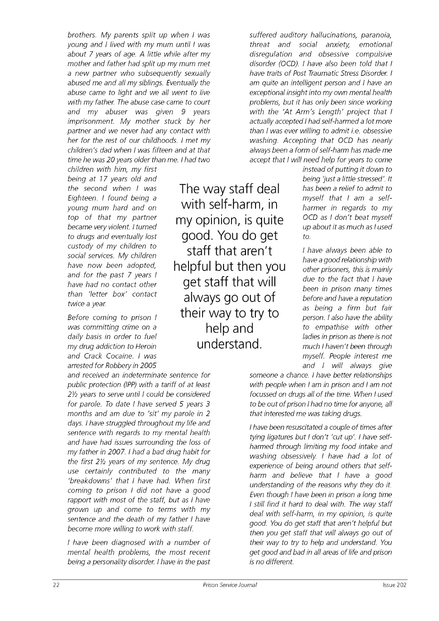*brothers. My parents split up when I was young and I lived with my mum until I was about 7 years of age. A little while after my mother and father had split up my mum met a new partner who subsequently sexually abused me and all my siblings. Eventually the abuse came to light and we all went to live with my father. The abuse case came to court and my abuser was given 9 years imprisonment. My mother stuck by her partner and we never had any contact with her for the rest of our childhoods. I met my children's dad when I was fifteen and at that time he was 20 years older than me. I had two* 

*children with him, my first being at 17 years old and the second when I was Eighteen. I found being a young mum hard and on top of that my partner became very violent. I turned to drugs and eventually lost custody of my children to social services. My children have now been adopted, and for the past 7 years I have had no contact other than 'letter box' contact twice a year.* 

*Before coming to prison I was committing crime on a daily basis in order to fuel my drug addiction to Heroin and Crack Cocaine. I was arrested for Robbery in 2005* 

*and received an indeterminate sentence for public protection (IPP) with a tariff of at least 2½ years to serve until I could be considered for parole. To date I have served 5 years 3 months and am due to 'sit' my parole in 2 days. I have struggled throughout my life and sentence with regards to my mental health and have had issues surrounding the loss of my father in 2007. I had a bad drug habit for the first 2½ years of my sentence. My drug use certainly contributed to the many 'breakdowns' that I have had. When first coming to prison I did not have a good rapport with most of the staff, but as I have grown up and come to terms with my sentence and the death of my father I have become more willing to work with staff.* 

*I have been diagnosed with a number of mental health problems, the most recent being a personality disorder. I have in the past* 

The way staff deal with self-harm, in my opinion, is quite good. You do get staff that aren't helpful but then you get staff that will always go out of their way to try to help and understand.

*suffered auditory hallucinations, paranoia, threat and social anxiety, emotional disregulation and obsessive compulsive disorder (OCD). I have also been told that I have traits of Post Traumatic Stress Disorder. I am quite an intelligent person and I have an exceptional insight into my own mental health problems, but it has only been since working with the 'At Arm's Length' project that I actually accepted I had self-harmed a lot more than I was ever willing to admit i.e. obsessive washing. Accepting that OCD has nearly always been a form of self-harm has made me accept that I will need help for years to come* 

*instead of putting it down to being 'just a little stressed'. It has been a relief to admit to myself that I am a selfharmer in regards to my OCD as I don't beat myself up about it as much as I used to.* 

*I have always been able to have a good relationship with other prisoners, this is mainly due to the fact that I have been in prison many times before and have a reputation as being a firm but fair person. I also have the ability to empathise with other ladies in prison as there is not much I haven't been through myself. People interest me and I will always give* 

*someone a chance. I have better relationships with people when I am in prison and I am not focussed on drugs all of the time. When I used to be out of prison I had no time for anyone, all that interested me was taking drugs.* 

*I have been resuscitated a couple of times after tying ligatures but I don't 'cut up'. I have selfharmed through limiting my food intake and washing obsessively. I have had a lot of experience of being around others that selfharm and believe that I have a good understanding of the reasons why they do it. Even though I have been in prison a long time I still find it hard to deal with. The way staff deal with self-harm, in my opinion, is quite good. You do get staff that aren't helpful but then you get staff that will always go out of their way to try to help and understand. You get good and bad in all areas of life and prison is no different.*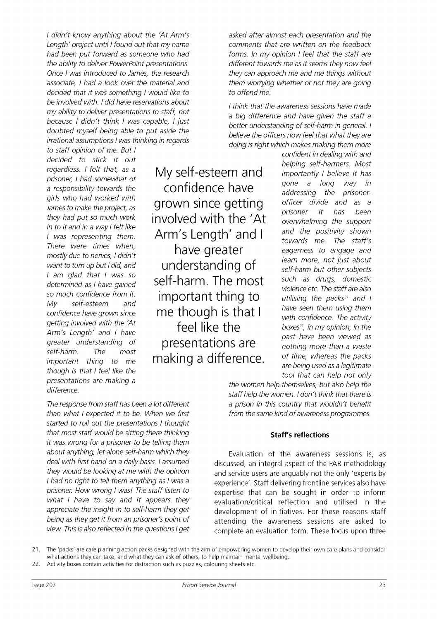*I didn't know anything about the 'At Arm's Length' project until I found out that my name had been put forward as someone who had the ability to deliver PowerPoint presentations. Once I was introduced to James, the research associate, I had a look over the material and decided that it was something I would like to be involved with. I did have reservations about my ability to deliver presentations to staff, not because I didn't think I was capable, I just doubted myself being able to put aside the irrational assumptions I was thinking in regards* 

*to staff opinion of me. But I decided to stick it out regardless. I felt that, as a prisoner, I had somewhat of a responsibility towards the girls who had worked with James to make the project, as they had put so much work in to it and in a way I felt like I was representing them. There were times when, mostly due to nerves, I didn't want to turn up but I did, and I am glad that I was so determined as I have gained so much confidence from it. My self-esteem and confidence have grown since getting involved with the 'At Arm's Length' and I have greater understanding of self-harm. The most important thing to me though is that I feel like the presentations are making a difference.* 

My self-esteem and confidence have grown since getting involved with the 'At Arm's Length' and I have greater understanding of self-harm. The most important thing to me though is that I feel like the presentations are making a difference.

*The response from staff has been a lot different than what I expected it to be. When we first started to roll out the presentations I thought that most staff would be sitting there thinking it was wrong for a prisoner to be telling them about anything, let alone self-harm which they deal with first hand on a daily basis. I assumed they would be looking at me with the opinion I had no right to tell them anything as I was a prisoner. How wrong I was! The staff listen to what I have to say and it appears they appreciate the insight in to self-harm they get being as they get it from an prisoner's point of view. This is also reflected in the questions I get*  *asked after almost each presentation and the comments that are written on the feedback forms. In my opinion I feel that the staff are different towards me as it seems they now feel they can approach me and me things without them worrying whether or not they are going to offend me.* 

*I think that the awareness sessions have made a big difference and have given the staff a better understanding of self-harm in general. I believe the officers now feel that what they are doing is right which makes making them more* 

> *confident in dealing with and helping self-harmers. Most importantly I believe it has gone a long way in addressing the prisonerofficer divide and as a prisoner it has been overwhelming the support and the positivity shown towards me. The staff's eagerness to engage and learn more, not just about self-harm but other subjects such as drugs, domestic violence etc. The staff are also utilising the packs<sup>21</sup> and I have seen them using them with confidence. The activity boxes<sup>22</sup> , in my opinion, in the past have been viewed as nothing more than a waste of time, whereas the packs are being used as a legitimate tool that can help not only*

*the women help themselves, but also help the staff help the women. I don't think that there is a prison in this country that wouldn't benefit from the same kind of awareness programmes.* 

### **Staff's reflections**

Evaluation of the awareness sessions is, as discussed, an integral aspect of the PAR methodology and service users are arguably not the only 'experts by experience'. Staff delivering frontline services also have expertise that can be sought in order to inform evaluation/critical reflection and utilised in the development of initiatives. For these reasons staff attending the awareness sessions are asked to complete an evaluation form. These focus upon three

21. The 'packs' are care planning action packs designed with the aim of empowering women to develop their own care plans and consider what actions they can take, and what they can ask of others, to help maintain mental wellbeing.

22. Activity boxes contain activities for distraction such as puzzles, colouring sheets etc.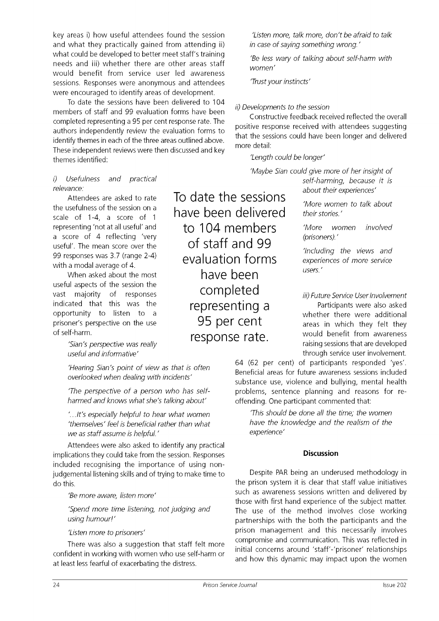key areas i) how useful attendees found the session and what they practically gained from attending ii) what could be developed to better meet staff's training needs and iii) whether there are other areas staff would benefit from service user led awareness sessions. Responses were anonymous and attendees were encouraged to identify areas of development.

To date the sessions have been delivered to 104 members of staff and 99 evaluation forms have been completed representing a 95 per cent response rate. The authors independently review the evaluation forms to identify themes in each of the three areas outlined above. These independent reviews were then discussed and key themes identified:

### *i) Usefulness and practical relevance:*

Attendees are asked to rate the usefulness of the session on a scale of 1-4, a score of 1 representing 'not at all useful' and a score of 4 reflecting 'very useful'. The mean score over the 99 responses was 3.7 (range 2-4) with a modal average of 4.

When asked about the most useful aspects of the session the vast majority of responses indicated that this was the opportunity to listen to a prisoner's perspective on the use of self-harm.

> *'Sian's perspective was really useful and informative'*

*'Hearing Sian's point of view as that is often overlooked when dealing with incidents'* 

*'The perspective of a person who has selfharmed and knows what she's talking about'* 

*'…It's especially helpful to hear what women 'themselves' feel is beneficial rather than what we as staff assume is helpful.'* 

Attendees were also asked to identify any practical implications they could take from the session. Responses included recognising the importance of using nonjudgemental listening skills and of trying to make time to do this.

*'Be more aware, listen more'* 

*'Spend more time listening, not judging and using humour!'* 

*'Listen more to prisoners'* 

There was also a suggestion that staff felt more confident in working with women who use self-harm or at least less fearful of exacerbating the distress.

*'Listen more, talk more, don't be afraid to talk in case of saying something wrong.'* 

*'Be less wary of talking about self-harm with women'* 

*'Trust your instincts'* 

# *ii) Developments to the session*

Constructive feedback received reflected the overall positive response received with attendees suggesting that the sessions could have been longer and delivered more detail:

*'Length could be longer'* 

have been delivered

to 104 members

of staff and 99

evaluation forms

have been

completed

representing a 95 per cent

response rate.

To date the sessions *'Maybe Sian could give more of her insight of self-harming, because it is about their experiences'* 

*'More women to talk about their stories.'* 

*'More women (prisoners).' involved* 

*'Including the views and experiences of more service users.'* 

*iii) Future Service User Involvement* 

Participants were also asked whether there were additional areas in which they felt they would benefit from awareness raising sessions that are developed through service user involvement.

64 (62 per cent) of participants responded 'yes'. Beneficial areas for future awareness sessions included substance use, violence and bullying, mental health problems, sentence planning and reasons for reoffending. One participant commented that:

*'This should be done all the time; the women have the knowledge and the realism of the experience'* 

## **Discussion**

Despite PAR being an underused methodology in the prison system it is clear that staff value initiatives such as awareness sessions written and delivered by those with first hand experience of the subject matter. The use of the method involves close working partnerships with the both the participants and the prison management and this necessarily involves compromise and communication. This was reflected in initial concerns around 'staff'-'prisoner' relationships and how this dynamic may impact upon the women